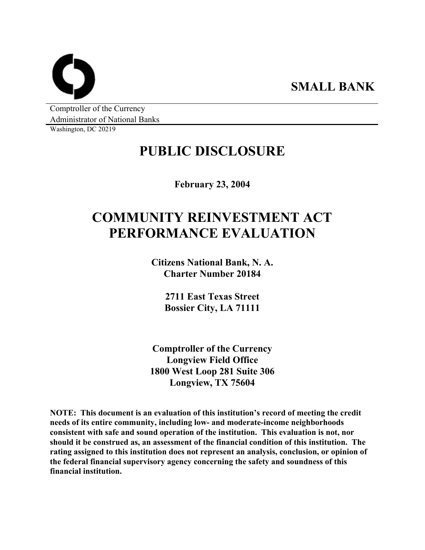**SMALL BANK** 

Comptroller of the Currency Administrator of National Banks

Washington, DC 20219

## **PUBLIC DISCLOSURE**

**February 23, 2004** 

# **COMMUNITY REINVESTMENT ACT PERFORMANCE EVALUATION**

**Citizens National Bank, N. A. Charter Number 20184** 

> **2711 East Texas Street Bossier City, LA 71111**

**Comptroller of the Currency Longview Field Office 1800 West Loop 281 Suite 306 Longview, TX 75604** 

**NOTE: This document is an evaluation of this institution's record of meeting the credit needs of its entire community, including low- and moderate-income neighborhoods consistent with safe and sound operation of the institution. This evaluation is not, nor should it be construed as, an assessment of the financial condition of this institution. The rating assigned to this institution does not represent an analysis, conclusion, or opinion of the federal financial supervisory agency concerning the safety and soundness of this financial institution.**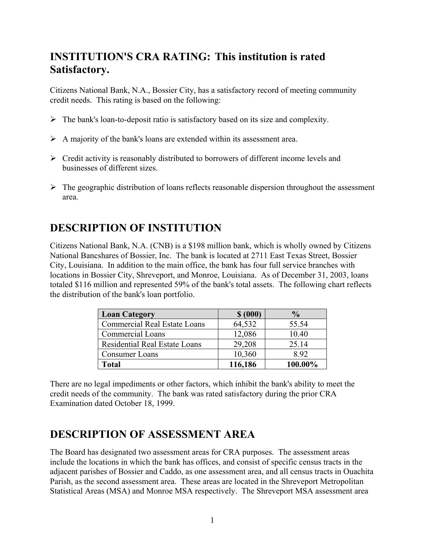### **INSTITUTION'S CRA RATING: This institution is rated Satisfactory.**

Citizens National Bank, N.A., Bossier City, has a satisfactory record of meeting community credit needs. This rating is based on the following:

- $\triangleright$  The bank's loan-to-deposit ratio is satisfactory based on its size and complexity.
- $\triangleright$  A majority of the bank's loans are extended within its assessment area.
- $\triangleright$  Credit activity is reasonably distributed to borrowers of different income levels and businesses of different sizes.
- $\triangleright$  The geographic distribution of loans reflects reasonable dispersion throughout the assessment area.

### **DESCRIPTION OF INSTITUTION**

Citizens National Bank, N.A. (CNB) is a \$198 million bank, which is wholly owned by Citizens National Bancshares of Bossier, Inc. The bank is located at 2711 East Texas Street, Bossier City, Louisiana. In addition to the main office, the bank has four full service branches with locations in Bossier City, Shreveport, and Monroe, Louisiana. As of December 31, 2003, loans totaled \$116 million and represented 59% of the bank's total assets. The following chart reflects the distribution of the bank's loan portfolio.

| <b>Loan Category</b>                 | \$ (000) | $\frac{0}{0}$ |
|--------------------------------------|----------|---------------|
| <b>Commercial Real Estate Loans</b>  | 64,532   | 55.54         |
| <b>Commercial Loans</b>              | 12,086   | 10.40         |
| <b>Residential Real Estate Loans</b> | 29,208   | 25.14         |
| Consumer Loans                       | 10,360   | 892           |
| Total                                | 116,186  | 100.00%       |

There are no legal impediments or other factors, which inhibit the bank's ability to meet the credit needs of the community. The bank was rated satisfactory during the prior CRA Examination dated October 18, 1999.

### **DESCRIPTION OF ASSESSMENT AREA**

The Board has designated two assessment areas for CRA purposes. The assessment areas include the locations in which the bank has offices, and consist of specific census tracts in the adjacent parishes of Bossier and Caddo, as one assessment area, and all census tracts in Ouachita Parish, as the second assessment area. These areas are located in the Shreveport Metropolitan Statistical Areas (MSA) and Monroe MSA respectively. The Shreveport MSA assessment area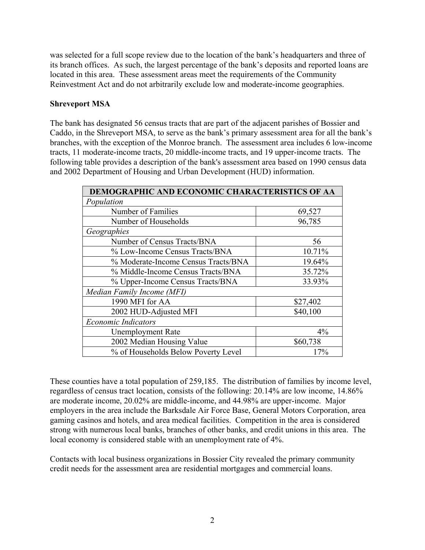was selected for a full scope review due to the location of the bank's headquarters and three of its branch offices. As such, the largest percentage of the bank's deposits and reported loans are located in this area. These assessment areas meet the requirements of the Community Reinvestment Act and do not arbitrarily exclude low and moderate-income geographies.

#### **Shreveport MSA**

The bank has designated 56 census tracts that are part of the adjacent parishes of Bossier and Caddo, in the Shreveport MSA, to serve as the bank's primary assessment area for all the bank's branches, with the exception of the Monroe branch. The assessment area includes 6 low-income tracts, 11 moderate-income tracts, 20 middle-income tracts, and 19 upper-income tracts. The following table provides a description of the bank's assessment area based on 1990 census data and 2002 Department of Housing and Urban Development (HUD) information.

| DEMOGRAPHIC AND ECONOMIC CHARACTERISTICS OF AA |          |  |  |  |  |  |
|------------------------------------------------|----------|--|--|--|--|--|
| Population                                     |          |  |  |  |  |  |
| Number of Families                             | 69,527   |  |  |  |  |  |
| Number of Households                           | 96,785   |  |  |  |  |  |
| Geographies                                    |          |  |  |  |  |  |
| Number of Census Tracts/BNA                    | 56       |  |  |  |  |  |
| % Low-Income Census Tracts/BNA                 | 10.71%   |  |  |  |  |  |
| % Moderate-Income Census Tracts/BNA            | 19.64%   |  |  |  |  |  |
| % Middle-Income Census Tracts/BNA              | 35.72%   |  |  |  |  |  |
| % Upper-Income Census Tracts/BNA               | 33.93%   |  |  |  |  |  |
| Median Family Income (MFI)                     |          |  |  |  |  |  |
| 1990 MFI for AA                                | \$27,402 |  |  |  |  |  |
| 2002 HUD-Adjusted MFI                          | \$40,100 |  |  |  |  |  |
| <b>Economic Indicators</b>                     |          |  |  |  |  |  |
| <b>Unemployment Rate</b>                       | 4%       |  |  |  |  |  |
| 2002 Median Housing Value                      | \$60,738 |  |  |  |  |  |
| % of Households Below Poverty Level            | 17%      |  |  |  |  |  |

These counties have a total population of 259,185. The distribution of families by income level, regardless of census tract location, consists of the following: 20.14% are low income, 14.86% are moderate income, 20.02% are middle-income, and 44.98% are upper-income. Major employers in the area include the Barksdale Air Force Base, General Motors Corporation, area gaming casinos and hotels, and area medical facilities. Competition in the area is considered strong with numerous local banks, branches of other banks, and credit unions in this area. The local economy is considered stable with an unemployment rate of 4%.

Contacts with local business organizations in Bossier City revealed the primary community credit needs for the assessment area are residential mortgages and commercial loans.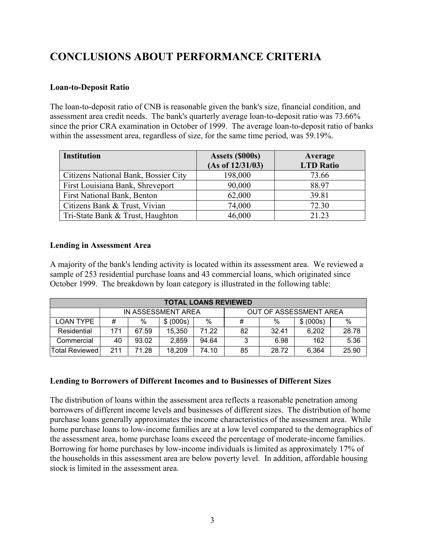### **CONCLUSIONS ABOUT PERFORMANCE CRITERIA**

#### **Loan-to-Deposit Ratio**

The loan-to-deposit ratio of CNB is reasonable given the bank's size, financial condition, and assessment area credit needs. The bank's quarterly average loan-to-deposit ratio was 73.66% since the prior CRA examination in October of 1999. The average loan-to-deposit ratio of banks within the assessment area, regardless of size, for the same time period, was 59.19%.

| <b>Institution</b>                   | Assets (\$000s)  | Average          |  |  |
|--------------------------------------|------------------|------------------|--|--|
|                                      | (As of 12/31/03) | <b>LTD Ratio</b> |  |  |
| Citizens National Bank, Bossier City | 198,000          | 73.66            |  |  |
| First Louisiana Bank, Shreveport     | 90,000           | 88.97            |  |  |
| <b>First National Bank, Benton</b>   | 62,000           | 39.81            |  |  |
| Citizens Bank & Trust, Vivian        | 74,000           | 72.30            |  |  |
| Tri-State Bank & Trust, Haughton     | 46,000           | 21.23            |  |  |

#### **Lending in Assessment Area**

A majority of the bank's lending activity is located within its assessment area. We reviewed a sample of 253 residential purchase loans and 43 commercial loans, which originated since October 1999. The breakdown by loan category is illustrated in the following table:

| <b>TOTAL LOANS REVIEWED</b> |                                                          |       |        |       |      |       |       |       |  |
|-----------------------------|----------------------------------------------------------|-------|--------|-------|------|-------|-------|-------|--|
|                             | OUT OF ASSESSMENT AREA<br>IN ASSESSMENT AREA             |       |        |       |      |       |       |       |  |
| LOAN TYPE                   | $\%$<br>$\%$<br>$\%$<br>#<br>\$ (000s)<br>\$ (000s)<br># |       |        |       | $\%$ |       |       |       |  |
| Residential                 | 171                                                      | 67.59 | 15.350 | 71.22 | 82   | 32.41 | 6,202 | 28.78 |  |
| Commercial                  | 40                                                       | 93.02 | 2.859  | 94.64 | 3    | 6.98  | 162   | 5.36  |  |
| Total Reviewed              | 211                                                      | 71.28 | 18.209 | 74.10 | 85   | 28.72 | 6.364 | 25.90 |  |

#### **Lending to Borrowers of Different Incomes and to Businesses of Different Sizes**

The distribution of loans within the assessment area reflects a reasonable penetration among borrowers of different income levels and businesses of different sizes. The distribution of home purchase loans generally approximates the income characteristics of the assessment area. While home purchase loans to low-income families are at a low level compared to the demographics of the assessment area, home purchase loans exceed the percentage of moderate-income families. Borrowing for home purchases by low-income individuals is limited as approximately 17% of the households in this assessment area are below poverty level. In addition, affordable housing stock is limited in the assessment area.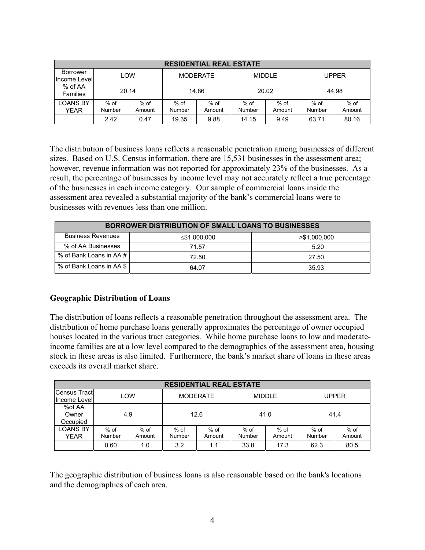| <b>RESIDENTIAL REAL ESTATE</b> |                  |                  |                  |                  |                  |                  |                  |                  |  |
|--------------------------------|------------------|------------------|------------------|------------------|------------------|------------------|------------------|------------------|--|
| Borrower<br>Income Level       |                  | LOW              |                  | <b>MODERATE</b>  |                  | <b>MIDDLE</b>    |                  | <b>UPPER</b>     |  |
| % of AA<br><b>Families</b>     |                  | 20.14            | 14.86            |                  | 20.02            |                  | 44.98            |                  |  |
| <b>LOANS BY</b><br><b>YEAR</b> | $%$ of<br>Number | $%$ of<br>Amount | $%$ of<br>Number | $%$ of<br>Amount | $%$ of<br>Number | $%$ of<br>Amount | $%$ of<br>Number | $%$ of<br>Amount |  |
|                                | 2.42             | 0.47             | 19.35            | 9.88             | 14.15            | 9.49             | 63.71            | 80.16            |  |

The distribution of business loans reflects a reasonable penetration among businesses of different sizes. Based on U.S. Census information, there are 15,531 businesses in the assessment area; however, revenue information was not reported for approximately 23% of the businesses. As a result, the percentage of businesses by income level may not accurately reflect a true percentage of the businesses in each income category. Our sample of commercial loans inside the assessment area revealed a substantial majority of the bank's commercial loans were to businesses with revenues less than one million.

| <b>BORROWER DISTRIBUTION OF SMALL LOANS TO BUSINESSES</b> |              |              |  |  |  |  |  |
|-----------------------------------------------------------|--------------|--------------|--|--|--|--|--|
| <b>Business Revenues</b>                                  | ≤\$1,000,000 | >\$1,000,000 |  |  |  |  |  |
| % of AA Businesses                                        | 71.57        | 5.20         |  |  |  |  |  |
| % of Bank Loans in AA # I                                 | 72.50        | 27.50        |  |  |  |  |  |
| % of Bank Loans in AA \$                                  | 64.07        | 35.93        |  |  |  |  |  |

#### **Geographic Distribution of Loans**

The distribution of loans reflects a reasonable penetration throughout the assessment area. The distribution of home purchase loans generally approximates the percentage of owner occupied houses located in the various tract categories. While home purchase loans to low and moderateincome families are at a low level compared to the demographics of the assessment area, housing stock in these areas is also limited. Furthermore, the bank's market share of loans in these areas exceeds its overall market share.

| <b>RESIDENTIAL REAL ESTATE</b> |        |        |                 |        |               |        |              |        |  |
|--------------------------------|--------|--------|-----------------|--------|---------------|--------|--------------|--------|--|
| <b>Census Tracti</b>           | LOW    |        | <b>MODERATE</b> |        | <b>MIDDLE</b> |        | <b>UPPER</b> |        |  |
| Income Levell                  |        |        |                 |        |               |        |              |        |  |
| %of AA                         |        |        |                 |        |               |        |              |        |  |
| Owner                          | 4.9    |        | 12.6            |        | 41.0          |        | 41.4         |        |  |
| Occupied                       |        |        |                 |        |               |        |              |        |  |
| <b>LOANS BY</b>                | $%$ of | $%$ of | $%$ of          | $%$ of | $%$ of        | $%$ of | $%$ of       | $%$ of |  |
| YEAR                           | Number | Amount | Number          | Amount | Number        | Amount | Number       | Amount |  |
|                                | 0.60   | 1.0    | 3.2             | 1.1    | 33.8          | 17.3   | 62.3         | 80.5   |  |

The geographic distribution of business loans is also reasonable based on the bank's locations and the demographics of each area.